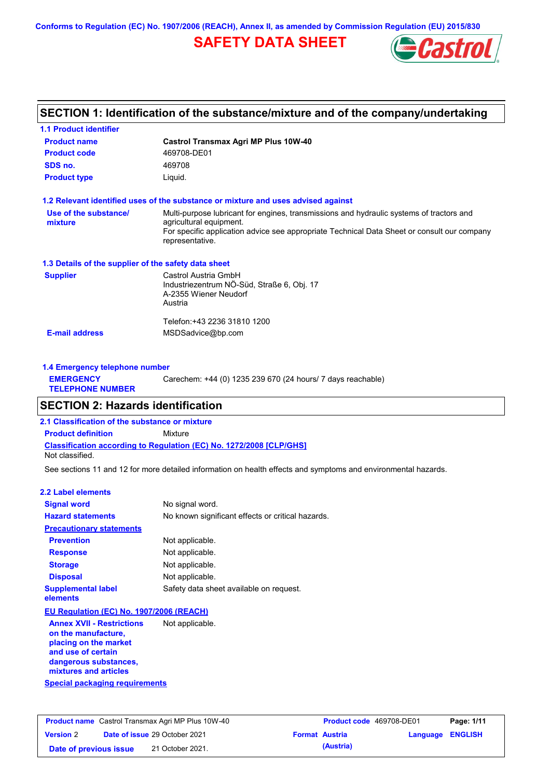**Conforms to Regulation (EC) No. 1907/2006 (REACH), Annex II, as amended by Commission Regulation (EU) 2015/830**

# **SAFETY DATA SHEET**



# **SECTION 1: Identification of the substance/mixture and of the company/undertaking**

| <b>1.1 Product identifier</b>                        |                                                                                                                                                                                                                                       |
|------------------------------------------------------|---------------------------------------------------------------------------------------------------------------------------------------------------------------------------------------------------------------------------------------|
| <b>Product name</b>                                  | <b>Castrol Transmax Agri MP Plus 10W-40</b>                                                                                                                                                                                           |
| <b>Product code</b>                                  | 469708-DE01                                                                                                                                                                                                                           |
| SDS no.                                              | 469708                                                                                                                                                                                                                                |
| <b>Product type</b>                                  | Liquid.                                                                                                                                                                                                                               |
|                                                      | 1.2 Relevant identified uses of the substance or mixture and uses advised against                                                                                                                                                     |
| Use of the substance/<br>mixture                     | Multi-purpose lubricant for engines, transmissions and hydraulic systems of tractors and<br>agricultural equipment.<br>For specific application advice see appropriate Technical Data Sheet or consult our company<br>representative. |
| 1.3 Details of the supplier of the safety data sheet |                                                                                                                                                                                                                                       |
| <b>Supplier</b>                                      | Castrol Austria GmbH<br>Industriezentrum NÖ-Süd, Straße 6, Obj. 17<br>A-2355 Wiener Neudorf<br>Austria                                                                                                                                |
|                                                      | Telefon:+43 2236 31810 1200                                                                                                                                                                                                           |
| <b>E-mail address</b>                                | MSDSadvice@bp.com                                                                                                                                                                                                                     |
| 1.4 Emergency telephone number                       |                                                                                                                                                                                                                                       |

| <b>EMERGENCY</b><br><b>TELEPHONE NUMBER</b> | Carechem: +44 (0) 1235 239 670 (24 hours/ 7 days reachable) |
|---------------------------------------------|-------------------------------------------------------------|
|---------------------------------------------|-------------------------------------------------------------|

# **SECTION 2: Hazards identification**

**2.1 Classification of the substance or mixture**

**Classification according to Regulation (EC) No. 1272/2008 [CLP/GHS] Product definition** Mixture

Not classified.

See sections 11 and 12 for more detailed information on health effects and symptoms and environmental hazards.

### **2.2 Label elements**

| <b>Signal word</b>                       | No signal word.                                   |
|------------------------------------------|---------------------------------------------------|
| <b>Hazard statements</b>                 | No known significant effects or critical hazards. |
| <b>Precautionary statements</b>          |                                                   |
| <b>Prevention</b>                        | Not applicable.                                   |
| <b>Response</b>                          | Not applicable.                                   |
| <b>Storage</b>                           | Not applicable.                                   |
| <b>Disposal</b>                          | Not applicable.                                   |
| <b>Supplemental label</b><br>elements    | Safety data sheet available on request.           |
| EU Regulation (EC) No. 1907/2006 (REACH) |                                                   |
| <b>Annex XVII - Restrictions</b>         | Not applicable.                                   |

**Special packaging requirements Annex XVII - Restrictions on the manufacture, placing on the market and use of certain dangerous substances, mixtures and articles**

|                        | <b>Product name</b> Castrol Transmax Agri MP Plus 10W-40 | <b>Product code</b> 469708-DE01 |                         | Page: 1/11 |
|------------------------|----------------------------------------------------------|---------------------------------|-------------------------|------------|
| <b>Version 2</b>       | <b>Date of issue 29 October 2021</b>                     | <b>Format Austria</b>           | <b>Language ENGLISH</b> |            |
| Date of previous issue | 21 October 2021.                                         | (Austria)                       |                         |            |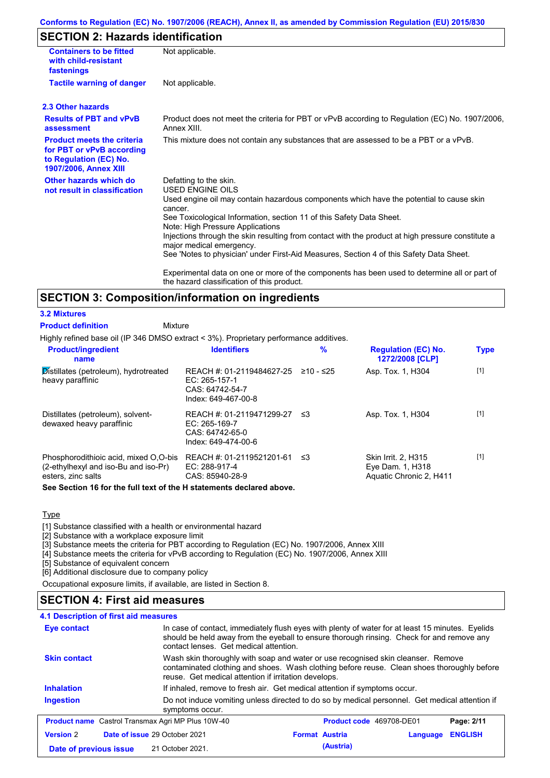### **Conforms to Regulation (EC) No. 1907/2006 (REACH), Annex II, as amended by Commission Regulation (EU) 2015/830**

# **SECTION 2: Hazards identification**

| <b>Containers to be fitted</b><br>with child-resistant<br>fastenings                                              | Not applicable.                                                                                                                                                                                                                                                                                                                                                                                                                                                                          |
|-------------------------------------------------------------------------------------------------------------------|------------------------------------------------------------------------------------------------------------------------------------------------------------------------------------------------------------------------------------------------------------------------------------------------------------------------------------------------------------------------------------------------------------------------------------------------------------------------------------------|
| <b>Tactile warning of danger</b>                                                                                  | Not applicable.                                                                                                                                                                                                                                                                                                                                                                                                                                                                          |
| 2.3 Other hazards                                                                                                 |                                                                                                                                                                                                                                                                                                                                                                                                                                                                                          |
| <b>Results of PBT and vPvB</b><br>assessment                                                                      | Product does not meet the criteria for PBT or vPvB according to Regulation (EC) No. 1907/2006,<br>Annex XIII.                                                                                                                                                                                                                                                                                                                                                                            |
| <b>Product meets the criteria</b><br>for PBT or vPvB according<br>to Regulation (EC) No.<br>1907/2006, Annex XIII | This mixture does not contain any substances that are assessed to be a PBT or a vPvB.                                                                                                                                                                                                                                                                                                                                                                                                    |
| Other hazards which do<br>not result in classification                                                            | Defatting to the skin.<br>USED ENGINE OILS<br>Used engine oil may contain hazardous components which have the potential to cause skin<br>cancer.<br>See Toxicological Information, section 11 of this Safety Data Sheet.<br>Note: High Pressure Applications<br>Injections through the skin resulting from contact with the product at high pressure constitute a<br>major medical emergency.<br>See 'Notes to physician' under First-Aid Measures, Section 4 of this Safety Data Sheet. |
|                                                                                                                   | Experimental data on one or more of the components has been used to determine all or part of<br>the hazard classification of this product.                                                                                                                                                                                                                                                                                                                                               |

## **SECTION 3: Composition/information on ingredients**

### **3.2 Mixtures**

**Mixture Product definition**

Highly refined base oil (IP 346 DMSO extract < 3%). Proprietary performance additives.

| <b>Product/ingredient</b><br>name                                                                   | <b>Identifiers</b>                                                                        | $\frac{9}{6}$ | <b>Regulation (EC) No.</b><br>1272/2008 [CLP]                             | <b>Type</b> |
|-----------------------------------------------------------------------------------------------------|-------------------------------------------------------------------------------------------|---------------|---------------------------------------------------------------------------|-------------|
| $\mathcal{\overline{D}}$ istillates (petroleum), hydrotreated<br>heavy paraffinic                   | REACH #: 01-2119484627-25<br>EC: 265-157-1<br>CAS: 64742-54-7<br>Index: 649-467-00-8      | ≥10 - ≤25     | Asp. Tox. 1, H304                                                         | $[1]$       |
| Distillates (petroleum), solvent-<br>dewaxed heavy paraffinic                                       | REACH #: 01-2119471299-27 ≤3<br>$EC: 265-169-7$<br>CAS: 64742-65-0<br>Index: 649-474-00-6 |               | Asp. Tox. 1, H304                                                         | $[1]$       |
| Phosphorodithioic acid, mixed O.O-bis<br>(2-ethylhexyl and iso-Bu and iso-Pr)<br>esters, zinc salts | REACH #: 01-2119521201-61<br>EC: 288-917-4<br>CAS: 85940-28-9                             | ב≥            | <b>Skin Irrit. 2. H315</b><br>Eye Dam. 1, H318<br>Aquatic Chronic 2, H411 | $[1]$       |
| Arra Arrathera d'Alternativa fratta en la fatta el territorio este este al categori els espec       |                                                                                           |               |                                                                           |             |

**See Section 16 for the full text of the H statements declared above.**

**Type** 

[1] Substance classified with a health or environmental hazard

[2] Substance with a workplace exposure limit

[3] Substance meets the criteria for PBT according to Regulation (EC) No. 1907/2006, Annex XIII

[4] Substance meets the criteria for vPvB according to Regulation (EC) No. 1907/2006, Annex XIII

[5] Substance of equivalent concern

[6] Additional disclosure due to company policy

Occupational exposure limits, if available, are listed in Section 8.

## **SECTION 4: First aid measures**

| <b>4.1 Description of first aid measures</b>             |                                                                                                                                                                                                                                         |                                   |                |  |
|----------------------------------------------------------|-----------------------------------------------------------------------------------------------------------------------------------------------------------------------------------------------------------------------------------------|-----------------------------------|----------------|--|
| <b>Eye contact</b>                                       | In case of contact, immediately flush eyes with plenty of water for at least 15 minutes. Eyelids<br>should be held away from the eyeball to ensure thorough rinsing. Check for and remove any<br>contact lenses. Get medical attention. |                                   |                |  |
| <b>Skin contact</b>                                      | Wash skin thoroughly with soap and water or use recognised skin cleanser. Remove<br>contaminated clothing and shoes. Wash clothing before reuse. Clean shoes thoroughly before<br>reuse. Get medical attention if irritation develops.  |                                   |                |  |
| <b>Inhalation</b>                                        | If inhaled, remove to fresh air. Get medical attention if symptoms occur.                                                                                                                                                               |                                   |                |  |
| <b>Ingestion</b>                                         | Do not induce vomiting unless directed to do so by medical personnel. Get medical attention if<br>symptoms occur.                                                                                                                       |                                   |                |  |
| <b>Product name</b> Castrol Transmax Agri MP Plus 10W-40 |                                                                                                                                                                                                                                         | Product code 469708-DE01          | Page: 2/11     |  |
| <b>Version 2</b><br>Date of issue 29 October 2021        |                                                                                                                                                                                                                                         | <b>Format Austria</b><br>Language | <b>ENGLISH</b> |  |
| Date of previous issue                                   | 21 October 2021.                                                                                                                                                                                                                        | (Austria)                         |                |  |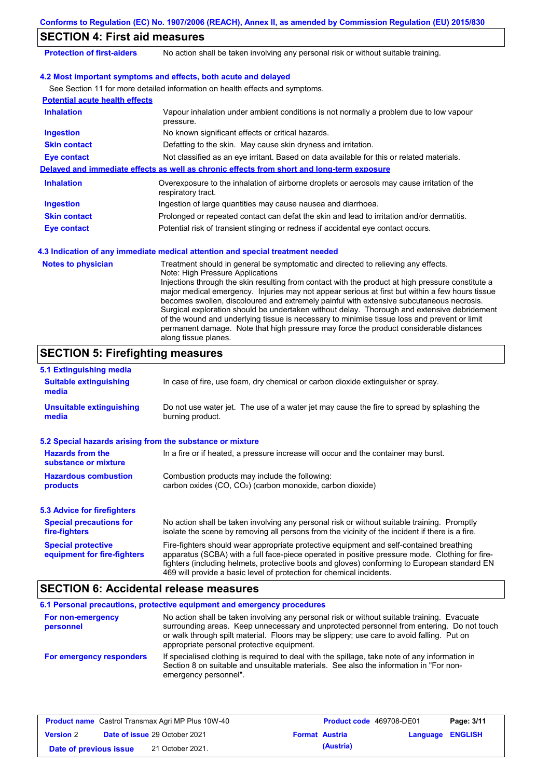|                                       | Conforms to Regulation (EC) No. 1907/2006 (REACH), Annex II, as amended by Commission Regulation (EU) 2015/830                                                                                                                                                                                                                                                                                                                                                                                                                                                                                                                                                                                                                             |  |  |  |
|---------------------------------------|--------------------------------------------------------------------------------------------------------------------------------------------------------------------------------------------------------------------------------------------------------------------------------------------------------------------------------------------------------------------------------------------------------------------------------------------------------------------------------------------------------------------------------------------------------------------------------------------------------------------------------------------------------------------------------------------------------------------------------------------|--|--|--|
| <b>SECTION 4: First aid measures</b>  |                                                                                                                                                                                                                                                                                                                                                                                                                                                                                                                                                                                                                                                                                                                                            |  |  |  |
| <b>Protection of first-aiders</b>     | No action shall be taken involving any personal risk or without suitable training.                                                                                                                                                                                                                                                                                                                                                                                                                                                                                                                                                                                                                                                         |  |  |  |
|                                       | 4.2 Most important symptoms and effects, both acute and delayed                                                                                                                                                                                                                                                                                                                                                                                                                                                                                                                                                                                                                                                                            |  |  |  |
|                                       | See Section 11 for more detailed information on health effects and symptoms.                                                                                                                                                                                                                                                                                                                                                                                                                                                                                                                                                                                                                                                               |  |  |  |
| <b>Potential acute health effects</b> |                                                                                                                                                                                                                                                                                                                                                                                                                                                                                                                                                                                                                                                                                                                                            |  |  |  |
| <b>Inhalation</b>                     | Vapour inhalation under ambient conditions is not normally a problem due to low vapour<br>pressure.                                                                                                                                                                                                                                                                                                                                                                                                                                                                                                                                                                                                                                        |  |  |  |
| <b>Ingestion</b>                      | No known significant effects or critical hazards.                                                                                                                                                                                                                                                                                                                                                                                                                                                                                                                                                                                                                                                                                          |  |  |  |
| <b>Skin contact</b>                   | Defatting to the skin. May cause skin dryness and irritation.                                                                                                                                                                                                                                                                                                                                                                                                                                                                                                                                                                                                                                                                              |  |  |  |
| <b>Eye contact</b>                    | Not classified as an eye irritant. Based on data available for this or related materials.                                                                                                                                                                                                                                                                                                                                                                                                                                                                                                                                                                                                                                                  |  |  |  |
|                                       | Delayed and immediate effects as well as chronic effects from short and long-term exposure                                                                                                                                                                                                                                                                                                                                                                                                                                                                                                                                                                                                                                                 |  |  |  |
| <b>Inhalation</b>                     | Overexposure to the inhalation of airborne droplets or aerosols may cause irritation of the<br>respiratory tract.                                                                                                                                                                                                                                                                                                                                                                                                                                                                                                                                                                                                                          |  |  |  |
| <b>Ingestion</b>                      | Ingestion of large quantities may cause nausea and diarrhoea.                                                                                                                                                                                                                                                                                                                                                                                                                                                                                                                                                                                                                                                                              |  |  |  |
| <b>Skin contact</b>                   | Prolonged or repeated contact can defat the skin and lead to irritation and/or dermatitis.                                                                                                                                                                                                                                                                                                                                                                                                                                                                                                                                                                                                                                                 |  |  |  |
| <b>Eye contact</b>                    | Potential risk of transient stinging or redness if accidental eye contact occurs.                                                                                                                                                                                                                                                                                                                                                                                                                                                                                                                                                                                                                                                          |  |  |  |
|                                       | 4.3 Indication of any immediate medical attention and special treatment needed                                                                                                                                                                                                                                                                                                                                                                                                                                                                                                                                                                                                                                                             |  |  |  |
| <b>Notes to physician</b>             | Treatment should in general be symptomatic and directed to relieving any effects.<br>Note: High Pressure Applications<br>Injections through the skin resulting from contact with the product at high pressure constitute a<br>major medical emergency. Injuries may not appear serious at first but within a few hours tissue<br>becomes swollen, discoloured and extremely painful with extensive subcutaneous necrosis.<br>Surgical exploration should be undertaken without delay. Thorough and extensive debridement<br>of the wound and underlying tissue is necessary to minimise tissue loss and prevent or limit<br>permanent damage. Note that high pressure may force the product considerable distances<br>along tissue planes. |  |  |  |

#### No action shall be taken involving any personal risk or without suitable training. Promptly isolate the scene by removing all persons from the vicinity of the incident if there is a fire. **Hazardous combustion products Hazards from the substance or mixture** Combustion products may include the following: carbon oxides (CO, CO2) (carbon monoxide, carbon dioxide) In a fire or if heated, a pressure increase will occur and the container may burst. Fire-fighters should wear appropriate protective equipment and self-contained breathing apparatus (SCBA) with a full face-piece operated in positive pressure mode. Clothing for firefighters (including helmets, protective boots and gloves) conforming to European standard EN 469 will provide a basic level of protection for chemical incidents. **Special protective equipment for fire-fighters** In case of fire, use foam, dry chemical or carbon dioxide extinguisher or spray. **5.1 Extinguishing media** Do not use water jet. The use of a water jet may cause the fire to spread by splashing the burning product. **Suitable extinguishing media Unsuitable extinguishing media SECTION 5: Firefighting measures 5.2 Special hazards arising from the substance or mixture 5.3 Advice for firefighters Special precautions for fire-fighters**

## **SECTION 6: Accidental release measures**

|                                | 6.1 Personal precautions, protective equipment and emergency procedures                                                                                                                                                                                                                                                             |
|--------------------------------|-------------------------------------------------------------------------------------------------------------------------------------------------------------------------------------------------------------------------------------------------------------------------------------------------------------------------------------|
| For non-emergency<br>personnel | No action shall be taken involving any personal risk or without suitable training. Evacuate<br>surrounding areas. Keep unnecessary and unprotected personnel from entering. Do not touch<br>or walk through spilt material. Floors may be slippery; use care to avoid falling. Put on<br>appropriate personal protective equipment. |
| For emergency responders       | If specialised clothing is required to deal with the spillage, take note of any information in<br>Section 8 on suitable and unsuitable materials. See also the information in "For non-<br>emergency personnel".                                                                                                                    |

|                        | <b>Product name</b> Castrol Transmax Agri MP Plus 10W-40 | <b>Product code</b> 469708-DE01 |                  | Page: 3/11 |
|------------------------|----------------------------------------------------------|---------------------------------|------------------|------------|
| <b>Version 2</b>       | <b>Date of issue 29 October 2021</b>                     | <b>Format Austria</b>           | Language ENGLISH |            |
| Date of previous issue | 21 October 2021.                                         | (Austria)                       |                  |            |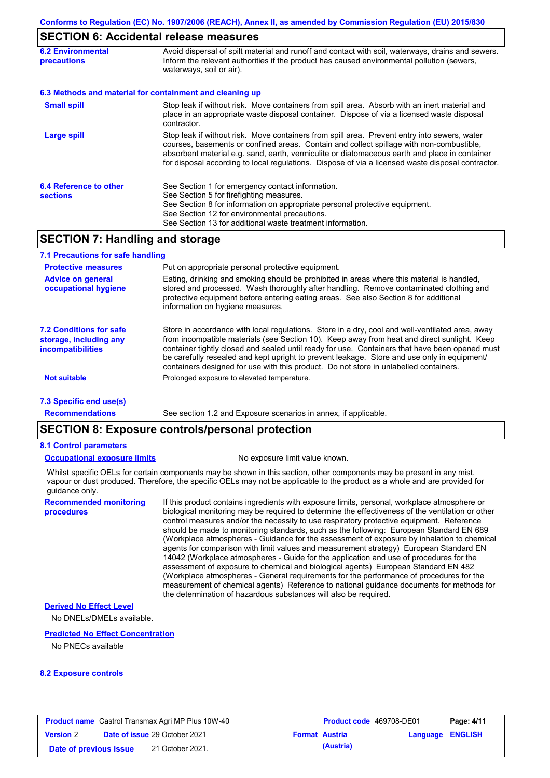## **SECTION 6: Accidental release measures**

| <b>6.2 Environmental</b><br><b>precautions</b> | Avoid dispersal of spilt material and runoff and contact with soil, waterways, drains and sewers.<br>Inform the relevant authorities if the product has caused environmental pollution (sewers,<br>waterways, soil or air).                                                                                                                                                                    |  |  |
|------------------------------------------------|------------------------------------------------------------------------------------------------------------------------------------------------------------------------------------------------------------------------------------------------------------------------------------------------------------------------------------------------------------------------------------------------|--|--|
|                                                | 6.3 Methods and material for containment and cleaning up                                                                                                                                                                                                                                                                                                                                       |  |  |
| <b>Small spill</b>                             | Stop leak if without risk. Move containers from spill area. Absorb with an inert material and<br>place in an appropriate waste disposal container. Dispose of via a licensed waste disposal<br>contractor.                                                                                                                                                                                     |  |  |
| Large spill                                    | Stop leak if without risk. Move containers from spill area. Prevent entry into sewers, water<br>courses, basements or confined areas. Contain and collect spillage with non-combustible,<br>absorbent material e.g. sand, earth, vermiculite or diatomaceous earth and place in container<br>for disposal according to local regulations. Dispose of via a licensed waste disposal contractor. |  |  |
| 6.4 Reference to other<br><b>sections</b>      | See Section 1 for emergency contact information.<br>See Section 5 for firefighting measures.<br>See Section 8 for information on appropriate personal protective equipment.<br>See Section 12 for environmental precautions.<br>See Section 13 for additional waste treatment information.                                                                                                     |  |  |

## **SECTION 7: Handling and storage**

| 7.1 Precautions for safe handling                                                    |                                                                                                                                                                                                                                                                                                                                                                                                                                                                                          |
|--------------------------------------------------------------------------------------|------------------------------------------------------------------------------------------------------------------------------------------------------------------------------------------------------------------------------------------------------------------------------------------------------------------------------------------------------------------------------------------------------------------------------------------------------------------------------------------|
| <b>Protective measures</b>                                                           | Put on appropriate personal protective equipment.                                                                                                                                                                                                                                                                                                                                                                                                                                        |
| <b>Advice on general</b><br>occupational hygiene                                     | Eating, drinking and smoking should be prohibited in areas where this material is handled,<br>stored and processed. Wash thoroughly after handling. Remove contaminated clothing and<br>protective equipment before entering eating areas. See also Section 8 for additional<br>information on hygiene measures.                                                                                                                                                                         |
| <b>7.2 Conditions for safe</b><br>storage, including any<br><i>incompatibilities</i> | Store in accordance with local requlations. Store in a dry, cool and well-ventilated area, away<br>from incompatible materials (see Section 10). Keep away from heat and direct sunlight. Keep<br>container tightly closed and sealed until ready for use. Containers that have been opened must<br>be carefully resealed and kept upright to prevent leakage. Store and use only in equipment/<br>containers designed for use with this product. Do not store in unlabelled containers. |
| <b>Not suitable</b>                                                                  | Prolonged exposure to elevated temperature.                                                                                                                                                                                                                                                                                                                                                                                                                                              |
| 7.3 Specific end use(s)                                                              |                                                                                                                                                                                                                                                                                                                                                                                                                                                                                          |
| <b>Recommendations</b>                                                               | See section 1.2 and Exposure scenarios in annex, if applicable.                                                                                                                                                                                                                                                                                                                                                                                                                          |

### **SECTION 8: Exposure controls/personal protection**

### **8.1 Control parameters**

### **Occupational exposure limits** No exposure limit value known.

**Recommended monitoring** 

**procedures**

Whilst specific OELs for certain components may be shown in this section, other components may be present in any mist, vapour or dust produced. Therefore, the specific OELs may not be applicable to the product as a whole and are provided for guidance only.

> If this product contains ingredients with exposure limits, personal, workplace atmosphere or biological monitoring may be required to determine the effectiveness of the ventilation or other control measures and/or the necessity to use respiratory protective equipment. Reference should be made to monitoring standards, such as the following: European Standard EN 689 (Workplace atmospheres - Guidance for the assessment of exposure by inhalation to chemical agents for comparison with limit values and measurement strategy) European Standard EN 14042 (Workplace atmospheres - Guide for the application and use of procedures for the assessment of exposure to chemical and biological agents) European Standard EN 482 (Workplace atmospheres - General requirements for the performance of procedures for the measurement of chemical agents) Reference to national guidance documents for methods for the determination of hazardous substances will also be required.

### **Derived No Effect Level**

No DNELs/DMELs available.

### **Predicted No Effect Concentration**

No PNECs available

### **8.2 Exposure controls**

|                        | <b>Product name</b> Castrol Transmax Agri MP Plus 10W-40 | <b>Product code</b> 469708-DE01 |                         | Page: 4/11 |
|------------------------|----------------------------------------------------------|---------------------------------|-------------------------|------------|
| <b>Version 2</b>       | <b>Date of issue 29 October 2021</b>                     | <b>Format Austria</b>           | <b>Language ENGLISH</b> |            |
| Date of previous issue | 21 October 2021.                                         | (Austria)                       |                         |            |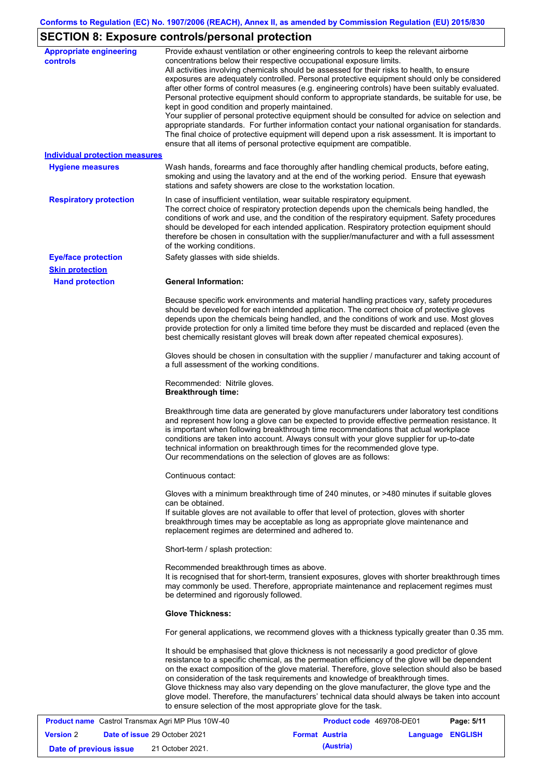# **SECTION 8: Exposure controls/personal protection**

| <b>Appropriate engineering</b><br><b>controls</b><br><b>Individual protection measures</b><br><b>Hygiene measures</b> | Provide exhaust ventilation or other engineering controls to keep the relevant airborne<br>concentrations below their respective occupational exposure limits.<br>All activities involving chemicals should be assessed for their risks to health, to ensure<br>exposures are adequately controlled. Personal protective equipment should only be considered<br>after other forms of control measures (e.g. engineering controls) have been suitably evaluated.<br>Personal protective equipment should conform to appropriate standards, be suitable for use, be<br>kept in good condition and properly maintained.<br>Your supplier of personal protective equipment should be consulted for advice on selection and<br>appropriate standards. For further information contact your national organisation for standards.<br>The final choice of protective equipment will depend upon a risk assessment. It is important to<br>ensure that all items of personal protective equipment are compatible.<br>Wash hands, forearms and face thoroughly after handling chemical products, before eating, |
|-----------------------------------------------------------------------------------------------------------------------|------------------------------------------------------------------------------------------------------------------------------------------------------------------------------------------------------------------------------------------------------------------------------------------------------------------------------------------------------------------------------------------------------------------------------------------------------------------------------------------------------------------------------------------------------------------------------------------------------------------------------------------------------------------------------------------------------------------------------------------------------------------------------------------------------------------------------------------------------------------------------------------------------------------------------------------------------------------------------------------------------------------------------------------------------------------------------------------------------|
|                                                                                                                       | smoking and using the lavatory and at the end of the working period. Ensure that eyewash<br>stations and safety showers are close to the workstation location.                                                                                                                                                                                                                                                                                                                                                                                                                                                                                                                                                                                                                                                                                                                                                                                                                                                                                                                                       |
| <b>Respiratory protection</b>                                                                                         | In case of insufficient ventilation, wear suitable respiratory equipment.<br>The correct choice of respiratory protection depends upon the chemicals being handled, the<br>conditions of work and use, and the condition of the respiratory equipment. Safety procedures<br>should be developed for each intended application. Respiratory protection equipment should<br>therefore be chosen in consultation with the supplier/manufacturer and with a full assessment<br>of the working conditions.                                                                                                                                                                                                                                                                                                                                                                                                                                                                                                                                                                                                |
| <b>Eye/face protection</b>                                                                                            | Safety glasses with side shields.                                                                                                                                                                                                                                                                                                                                                                                                                                                                                                                                                                                                                                                                                                                                                                                                                                                                                                                                                                                                                                                                    |
| <b>Skin protection</b><br><b>Hand protection</b>                                                                      | <b>General Information:</b>                                                                                                                                                                                                                                                                                                                                                                                                                                                                                                                                                                                                                                                                                                                                                                                                                                                                                                                                                                                                                                                                          |
|                                                                                                                       | Because specific work environments and material handling practices vary, safety procedures<br>should be developed for each intended application. The correct choice of protective gloves<br>depends upon the chemicals being handled, and the conditions of work and use. Most gloves<br>provide protection for only a limited time before they must be discarded and replaced (even the<br>best chemically resistant gloves will break down after repeated chemical exposures).                                                                                                                                                                                                                                                                                                                                                                                                                                                                                                                                                                                                                     |
|                                                                                                                       | Gloves should be chosen in consultation with the supplier / manufacturer and taking account of<br>a full assessment of the working conditions.                                                                                                                                                                                                                                                                                                                                                                                                                                                                                                                                                                                                                                                                                                                                                                                                                                                                                                                                                       |
|                                                                                                                       | Recommended: Nitrile gloves.<br><b>Breakthrough time:</b>                                                                                                                                                                                                                                                                                                                                                                                                                                                                                                                                                                                                                                                                                                                                                                                                                                                                                                                                                                                                                                            |
|                                                                                                                       | Breakthrough time data are generated by glove manufacturers under laboratory test conditions<br>and represent how long a glove can be expected to provide effective permeation resistance. It<br>is important when following breakthrough time recommendations that actual workplace<br>conditions are taken into account. Always consult with your glove supplier for up-to-date<br>technical information on breakthrough times for the recommended glove type.<br>Our recommendations on the selection of gloves are as follows:                                                                                                                                                                                                                                                                                                                                                                                                                                                                                                                                                                   |
|                                                                                                                       | Continuous contact:                                                                                                                                                                                                                                                                                                                                                                                                                                                                                                                                                                                                                                                                                                                                                                                                                                                                                                                                                                                                                                                                                  |
|                                                                                                                       | Gloves with a minimum breakthrough time of 240 minutes, or >480 minutes if suitable gloves<br>can be obtained.<br>If suitable gloves are not available to offer that level of protection, gloves with shorter<br>breakthrough times may be acceptable as long as appropriate glove maintenance and<br>replacement regimes are determined and adhered to.                                                                                                                                                                                                                                                                                                                                                                                                                                                                                                                                                                                                                                                                                                                                             |
|                                                                                                                       | Short-term / splash protection:                                                                                                                                                                                                                                                                                                                                                                                                                                                                                                                                                                                                                                                                                                                                                                                                                                                                                                                                                                                                                                                                      |
|                                                                                                                       | Recommended breakthrough times as above.<br>It is recognised that for short-term, transient exposures, gloves with shorter breakthrough times<br>may commonly be used. Therefore, appropriate maintenance and replacement regimes must<br>be determined and rigorously followed.                                                                                                                                                                                                                                                                                                                                                                                                                                                                                                                                                                                                                                                                                                                                                                                                                     |
|                                                                                                                       | <b>Glove Thickness:</b>                                                                                                                                                                                                                                                                                                                                                                                                                                                                                                                                                                                                                                                                                                                                                                                                                                                                                                                                                                                                                                                                              |
|                                                                                                                       | For general applications, we recommend gloves with a thickness typically greater than 0.35 mm.                                                                                                                                                                                                                                                                                                                                                                                                                                                                                                                                                                                                                                                                                                                                                                                                                                                                                                                                                                                                       |
|                                                                                                                       | It should be emphasised that glove thickness is not necessarily a good predictor of glove<br>resistance to a specific chemical, as the permeation efficiency of the glove will be dependent<br>on the exact composition of the glove material. Therefore, glove selection should also be based<br>on consideration of the task requirements and knowledge of breakthrough times.<br>Glove thickness may also vary depending on the glove manufacturer, the glove type and the<br>glove model. Therefore, the manufacturers' technical data should always be taken into account<br>to ensure selection of the most appropriate glove for the task.<br>100700000                                                                                                                                                                                                                                                                                                                                                                                                                                       |

| <b>Product name</b> Castrol Transmax Agri MP Plus 10W-40 |  |                                      | Product code 469708-DE01 |                       | Page: 5/11       |  |
|----------------------------------------------------------|--|--------------------------------------|--------------------------|-----------------------|------------------|--|
| <b>Version 2</b>                                         |  | <b>Date of issue 29 October 2021</b> |                          | <b>Format Austria</b> | Language ENGLISH |  |
| Date of previous issue                                   |  | 21 October 2021.                     |                          | (Austria)             |                  |  |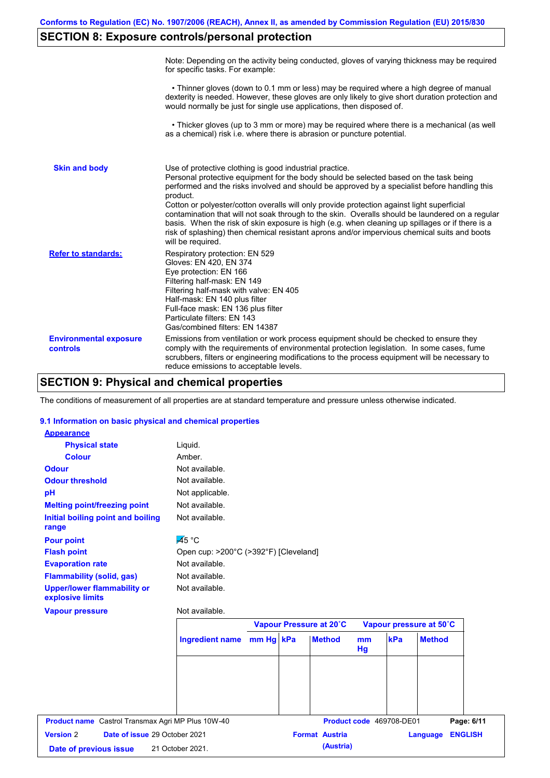# **SECTION 8: Exposure controls/personal protection**

|                                           | Note: Depending on the activity being conducted, gloves of varying thickness may be required<br>for specific tasks. For example:                                                                                                                                                                                                                                                                                                                                                                                                                                                                                                                                                      |
|-------------------------------------------|---------------------------------------------------------------------------------------------------------------------------------------------------------------------------------------------------------------------------------------------------------------------------------------------------------------------------------------------------------------------------------------------------------------------------------------------------------------------------------------------------------------------------------------------------------------------------------------------------------------------------------------------------------------------------------------|
|                                           | • Thinner gloves (down to 0.1 mm or less) may be required where a high degree of manual<br>dexterity is needed. However, these gloves are only likely to give short duration protection and<br>would normally be just for single use applications, then disposed of.                                                                                                                                                                                                                                                                                                                                                                                                                  |
|                                           | • Thicker gloves (up to 3 mm or more) may be required where there is a mechanical (as well<br>as a chemical) risk i.e. where there is abrasion or puncture potential.                                                                                                                                                                                                                                                                                                                                                                                                                                                                                                                 |
| <b>Skin and body</b>                      | Use of protective clothing is good industrial practice.<br>Personal protective equipment for the body should be selected based on the task being<br>performed and the risks involved and should be approved by a specialist before handling this<br>product.<br>Cotton or polyester/cotton overalls will only provide protection against light superficial<br>contamination that will not soak through to the skin. Overalls should be laundered on a regular<br>basis. When the risk of skin exposure is high (e.g. when cleaning up spillages or if there is a<br>risk of splashing) then chemical resistant aprons and/or impervious chemical suits and boots<br>will be required. |
| <b>Refer to standards:</b>                | Respiratory protection: EN 529<br>Gloves: EN 420, EN 374<br>Eye protection: EN 166<br>Filtering half-mask: EN 149<br>Filtering half-mask with valve: EN 405<br>Half-mask: EN 140 plus filter<br>Full-face mask: EN 136 plus filter<br>Particulate filters: EN 143<br>Gas/combined filters: EN 14387                                                                                                                                                                                                                                                                                                                                                                                   |
| <b>Environmental exposure</b><br>controls | Emissions from ventilation or work process equipment should be checked to ensure they<br>comply with the requirements of environmental protection legislation. In some cases, fume<br>scrubbers, filters or engineering modifications to the process equipment will be necessary to<br>reduce emissions to acceptable levels.                                                                                                                                                                                                                                                                                                                                                         |

# **SECTION 9: Physical and chemical properties**

The conditions of measurement of all properties are at standard temperature and pressure unless otherwise indicated.

### **9.1 Information on basic physical and chemical properties**

| <b>Appearance</b>                                      |                                       |  |                         |                      |                          |                            |  |
|--------------------------------------------------------|---------------------------------------|--|-------------------------|----------------------|--------------------------|----------------------------|--|
| <b>Physical state</b>                                  | Liquid.                               |  |                         |                      |                          |                            |  |
| <b>Colour</b>                                          | Amber.                                |  |                         |                      |                          |                            |  |
| <b>Odour</b>                                           | Not available.                        |  |                         |                      |                          |                            |  |
| <b>Odour threshold</b>                                 | Not available.                        |  |                         |                      |                          |                            |  |
| pH                                                     | Not applicable.                       |  |                         |                      |                          |                            |  |
| <b>Melting point/freezing point</b>                    | Not available.                        |  |                         |                      |                          |                            |  |
| Initial boiling point and boiling<br>range             | Not available.                        |  |                         |                      |                          |                            |  |
| <b>Pour point</b>                                      | $\overline{45}$ °C                    |  |                         |                      |                          |                            |  |
| <b>Flash point</b>                                     | Open cup: >200°C (>392°F) [Cleveland] |  |                         |                      |                          |                            |  |
| <b>Evaporation rate</b>                                | Not available.                        |  |                         |                      |                          |                            |  |
| <b>Flammability (solid, gas)</b>                       | Not available.                        |  |                         |                      |                          |                            |  |
| <b>Upper/lower flammability or</b><br>explosive limits | Not available.                        |  |                         |                      |                          |                            |  |
| <b>Vapour pressure</b>                                 | Not available.                        |  |                         |                      |                          |                            |  |
|                                                        |                                       |  | Vapour Pressure at 20°C |                      |                          | Vapour pressure at 50°C    |  |
|                                                        | Ingredient name mm Hg kPa             |  | <b>Method</b>           | m <sub>m</sub><br>Hg | kPa                      | <b>Method</b>              |  |
|                                                        |                                       |  |                         |                      |                          |                            |  |
|                                                        |                                       |  |                         |                      |                          |                            |  |
|                                                        |                                       |  |                         |                      |                          |                            |  |
|                                                        |                                       |  |                         |                      |                          |                            |  |
|                                                        |                                       |  |                         |                      | Product code 469708-DE01 |                            |  |
| Product name Castrol Transmax Agri MP Plus 10W-40      |                                       |  |                         |                      |                          | Page: 6/11                 |  |
| Date of issue 29 October 2021<br><b>Version 2</b>      |                                       |  | <b>Format Austria</b>   |                      |                          | <b>ENGLISH</b><br>Language |  |
| Date of previous issue                                 | 21 October 2021.                      |  | (Austria)               |                      |                          |                            |  |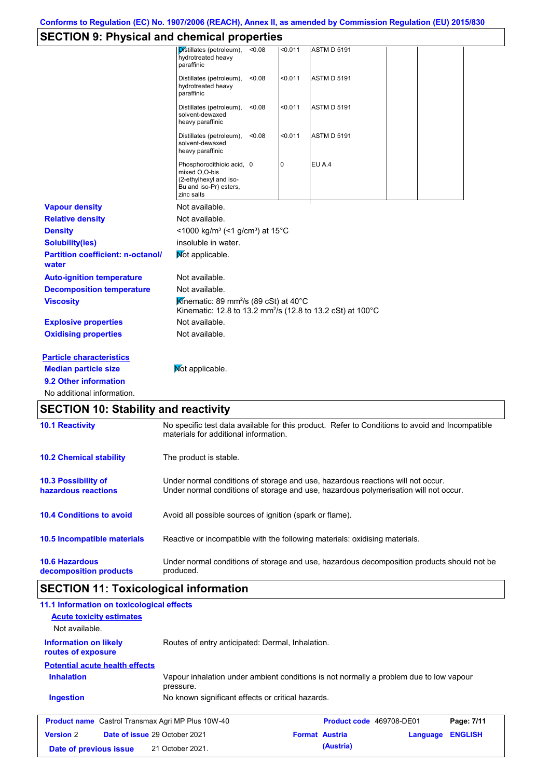# **SECTION 9: Physical and chemical properties**

|                                                                                                                       | <b>SECTION 9. PHYSICAL AND CHEMICAL PROPERTIES</b>                                                                                                                      |  |  |  |  |  |
|-----------------------------------------------------------------------------------------------------------------------|-------------------------------------------------------------------------------------------------------------------------------------------------------------------------|--|--|--|--|--|
|                                                                                                                       | Distillates (petroleum),<br>0.011<br>< 0.08<br><b>ASTM D 5191</b><br>hydrotreated heavy<br>paraffinic                                                                   |  |  |  |  |  |
|                                                                                                                       | Distillates (petroleum),<br>< 0.08<br>< 0.011<br><b>ASTM D 5191</b><br>hydrotreated heavy<br>paraffinic                                                                 |  |  |  |  |  |
|                                                                                                                       | < 0.011<br><b>ASTM D 5191</b><br>Distillates (petroleum),<br>< 0.08<br>solvent-dewaxed<br>heavy paraffinic                                                              |  |  |  |  |  |
|                                                                                                                       | < 0.011<br><b>ASTM D 5191</b><br>Distillates (petroleum),<br>< 0.08<br>solvent-dewaxed<br>heavy paraffinic                                                              |  |  |  |  |  |
|                                                                                                                       | <b>EU A.4</b><br>Phosphorodithioic acid, 0<br>0<br>mixed O,O-bis<br>(2-ethylhexyl and iso-<br>Bu and iso-Pr) esters,<br>zinc salts                                      |  |  |  |  |  |
| <b>Vapour density</b>                                                                                                 | Not available.                                                                                                                                                          |  |  |  |  |  |
| <b>Relative density</b>                                                                                               | Not available.                                                                                                                                                          |  |  |  |  |  |
| <b>Density</b>                                                                                                        | <1000 kg/m <sup>3</sup> (<1 g/cm <sup>3</sup> ) at 15 <sup>°</sup> C                                                                                                    |  |  |  |  |  |
| <b>Solubility(ies)</b>                                                                                                | insoluble in water.                                                                                                                                                     |  |  |  |  |  |
| <b>Partition coefficient: n-octanol/</b><br>water                                                                     | Mot applicable.                                                                                                                                                         |  |  |  |  |  |
| <b>Auto-ignition temperature</b>                                                                                      | Not available.                                                                                                                                                          |  |  |  |  |  |
| <b>Decomposition temperature</b>                                                                                      | Not available.                                                                                                                                                          |  |  |  |  |  |
| <b>Viscosity</b>                                                                                                      | Kinematic: 89 mm <sup>2</sup> /s (89 cSt) at 40 $^{\circ}$ C<br>Kinematic: 12.8 to 13.2 mm <sup>2</sup> /s (12.8 to 13.2 cSt) at 100°C                                  |  |  |  |  |  |
| <b>Explosive properties</b>                                                                                           | Not available.                                                                                                                                                          |  |  |  |  |  |
| <b>Oxidising properties</b>                                                                                           | Not available.                                                                                                                                                          |  |  |  |  |  |
| <b>Particle characteristics</b><br><b>Median particle size</b><br>9.2 Other information<br>No additional information. | Not applicable.                                                                                                                                                         |  |  |  |  |  |
| <b>SECTION 10: Stability and reactivity</b>                                                                           |                                                                                                                                                                         |  |  |  |  |  |
| <b>10.1 Reactivity</b>                                                                                                | No specific test data available for this product. Refer to Conditions to avoid and Incompatible<br>materials for additional information.                                |  |  |  |  |  |
| <b>10.2 Chemical stability</b>                                                                                        | The product is stable.                                                                                                                                                  |  |  |  |  |  |
| 10.3 Possibility of<br>hazardous reactions                                                                            | Under normal conditions of storage and use, hazardous reactions will not occur.<br>Under normal conditions of storage and use, hazardous polymerisation will not occur. |  |  |  |  |  |
| <b>10.4 Conditions to avoid</b>                                                                                       | Avoid all possible sources of ignition (spark or flame).                                                                                                                |  |  |  |  |  |
| 10.5 Incompatible materials                                                                                           | Reactive or incompatible with the following materials: oxidising materials.                                                                                             |  |  |  |  |  |
| <b>10.6 Hazardous</b><br>decomposition products                                                                       | Under normal conditions of storage and use, hazardous decomposition products should not be<br>produced.                                                                 |  |  |  |  |  |

# **SECTION 11: Toxicological information**

| 11.1 Information on toxicological effects                |                                                                                                     |                       |                          |          |                |
|----------------------------------------------------------|-----------------------------------------------------------------------------------------------------|-----------------------|--------------------------|----------|----------------|
| <b>Acute toxicity estimates</b>                          |                                                                                                     |                       |                          |          |                |
| Not available.                                           |                                                                                                     |                       |                          |          |                |
| <b>Information on likely</b><br>routes of exposure       | Routes of entry anticipated: Dermal, Inhalation.                                                    |                       |                          |          |                |
| <b>Potential acute health effects</b>                    |                                                                                                     |                       |                          |          |                |
| <b>Inhalation</b>                                        | Vapour inhalation under ambient conditions is not normally a problem due to low vapour<br>pressure. |                       |                          |          |                |
| <b>Ingestion</b>                                         | No known significant effects or critical hazards.                                                   |                       |                          |          |                |
| <b>Product name</b> Castrol Transmax Agri MP Plus 10W-40 |                                                                                                     |                       | Product code 469708-DE01 |          | Page: 7/11     |
| <b>Version 2</b>                                         | Date of issue 29 October 2021                                                                       | <b>Format Austria</b> |                          | Language | <b>ENGLISH</b> |
| Date of previous issue                                   | 21 October 2021.                                                                                    |                       | (Austria)                |          |                |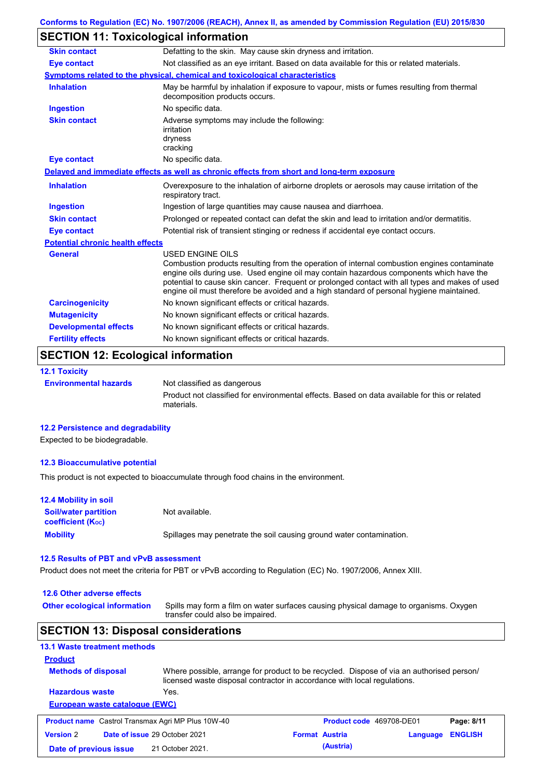# **SECTION 11: Toxicological information**

| <b>Skin contact</b>                     | Defatting to the skin. May cause skin dryness and irritation.                                                                                                                                                                                                                                                                                                                                                   |  |  |  |  |  |
|-----------------------------------------|-----------------------------------------------------------------------------------------------------------------------------------------------------------------------------------------------------------------------------------------------------------------------------------------------------------------------------------------------------------------------------------------------------------------|--|--|--|--|--|
| <b>Eye contact</b>                      | Not classified as an eye irritant. Based on data available for this or related materials.                                                                                                                                                                                                                                                                                                                       |  |  |  |  |  |
|                                         | Symptoms related to the physical, chemical and toxicological characteristics                                                                                                                                                                                                                                                                                                                                    |  |  |  |  |  |
| <b>Inhalation</b>                       | May be harmful by inhalation if exposure to vapour, mists or fumes resulting from thermal<br>decomposition products occurs.                                                                                                                                                                                                                                                                                     |  |  |  |  |  |
| <b>Ingestion</b>                        | No specific data.                                                                                                                                                                                                                                                                                                                                                                                               |  |  |  |  |  |
| <b>Skin contact</b>                     | Adverse symptoms may include the following:<br>irritation<br>dryness<br>cracking                                                                                                                                                                                                                                                                                                                                |  |  |  |  |  |
| <b>Eye contact</b>                      | No specific data.                                                                                                                                                                                                                                                                                                                                                                                               |  |  |  |  |  |
|                                         | Delayed and immediate effects as well as chronic effects from short and long-term exposure                                                                                                                                                                                                                                                                                                                      |  |  |  |  |  |
| <b>Inhalation</b>                       | Overexposure to the inhalation of airborne droplets or aerosols may cause irritation of the<br>respiratory tract.                                                                                                                                                                                                                                                                                               |  |  |  |  |  |
| <b>Ingestion</b>                        | Ingestion of large quantities may cause nausea and diarrhoea.                                                                                                                                                                                                                                                                                                                                                   |  |  |  |  |  |
| <b>Skin contact</b>                     | Prolonged or repeated contact can defat the skin and lead to irritation and/or dermatitis.                                                                                                                                                                                                                                                                                                                      |  |  |  |  |  |
| <b>Eye contact</b>                      | Potential risk of transient stinging or redness if accidental eye contact occurs.                                                                                                                                                                                                                                                                                                                               |  |  |  |  |  |
| <b>Potential chronic health effects</b> |                                                                                                                                                                                                                                                                                                                                                                                                                 |  |  |  |  |  |
| <b>General</b>                          | <b>USED ENGINE OILS</b><br>Combustion products resulting from the operation of internal combustion engines contaminate<br>engine oils during use. Used engine oil may contain hazardous components which have the<br>potential to cause skin cancer. Frequent or prolonged contact with all types and makes of used<br>engine oil must therefore be avoided and a high standard of personal hygiene maintained. |  |  |  |  |  |
| <b>Carcinogenicity</b>                  | No known significant effects or critical hazards.                                                                                                                                                                                                                                                                                                                                                               |  |  |  |  |  |
| <b>Mutagenicity</b>                     | No known significant effects or critical hazards.                                                                                                                                                                                                                                                                                                                                                               |  |  |  |  |  |
| <b>Developmental effects</b>            | No known significant effects or critical hazards.                                                                                                                                                                                                                                                                                                                                                               |  |  |  |  |  |
| <b>Fertility effects</b>                | No known significant effects or critical hazards.                                                                                                                                                                                                                                                                                                                                                               |  |  |  |  |  |

# **SECTION 12: Ecological information**

**12.1 Toxicity Environmental hazards** Not classified as dangerous Product not classified for environmental effects. Based on data available for this or related materials.

### **12.2 Persistence and degradability**

Expected to be biodegradable.

### **12.3 Bioaccumulative potential**

This product is not expected to bioaccumulate through food chains in the environment.

| <b>12.4 Mobility in soil</b>                                  |                                                                      |
|---------------------------------------------------------------|----------------------------------------------------------------------|
| <b>Soil/water partition</b><br>coefficient (K <sub>oc</sub> ) | Not available.                                                       |
| <b>Mobility</b>                                               | Spillages may penetrate the soil causing ground water contamination. |

### **12.5 Results of PBT and vPvB assessment**

Product does not meet the criteria for PBT or vPvB according to Regulation (EC) No. 1907/2006, Annex XIII.

| 12.6 Other adverse effects                               |                                                                                                                                                                      |                                                                                       |                                 |          |                |  |
|----------------------------------------------------------|----------------------------------------------------------------------------------------------------------------------------------------------------------------------|---------------------------------------------------------------------------------------|---------------------------------|----------|----------------|--|
| <b>Other ecological information</b>                      | transfer could also be impaired.                                                                                                                                     | Spills may form a film on water surfaces causing physical damage to organisms. Oxygen |                                 |          |                |  |
| <b>SECTION 13: Disposal considerations</b>               |                                                                                                                                                                      |                                                                                       |                                 |          |                |  |
| <b>13.1 Waste treatment methods</b>                      |                                                                                                                                                                      |                                                                                       |                                 |          |                |  |
| <b>Product</b>                                           |                                                                                                                                                                      |                                                                                       |                                 |          |                |  |
| <b>Methods of disposal</b>                               | Where possible, arrange for product to be recycled. Dispose of via an authorised person/<br>licensed waste disposal contractor in accordance with local regulations. |                                                                                       |                                 |          |                |  |
| <b>Hazardous waste</b>                                   | Yes.                                                                                                                                                                 |                                                                                       |                                 |          |                |  |
| European waste catalogue (EWC)                           |                                                                                                                                                                      |                                                                                       |                                 |          |                |  |
| <b>Product name</b> Castrol Transmax Agri MP Plus 10W-40 |                                                                                                                                                                      |                                                                                       | <b>Product code</b> 469708-DE01 |          | Page: 8/11     |  |
| <b>Version 2</b>                                         | <b>Date of issue 29 October 2021</b>                                                                                                                                 |                                                                                       | <b>Format Austria</b>           | Language | <b>ENGLISH</b> |  |
| Date of previous issue                                   | 21 October 2021.                                                                                                                                                     |                                                                                       | (Austria)                       |          |                |  |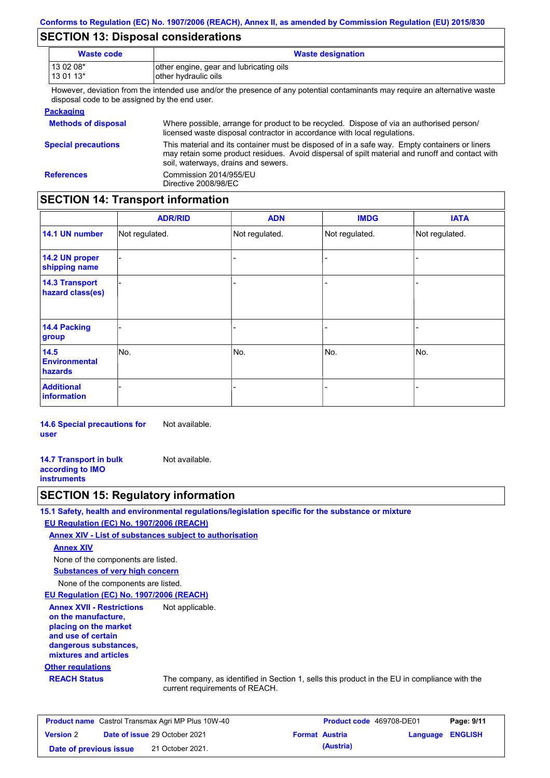# **SECTION 13: Disposal considerations**

| <b>Waste code</b>                             | <b>Waste designation</b>                                                                                                                                                                                                                |
|-----------------------------------------------|-----------------------------------------------------------------------------------------------------------------------------------------------------------------------------------------------------------------------------------------|
| 13 02 08*<br>13 01 13*                        | other engine, gear and lubricating oils<br>other hydraulic oils                                                                                                                                                                         |
| disposal code to be assigned by the end user. | However, deviation from the intended use and/or the presence of any potential contaminants may require an alternative waste                                                                                                             |
| <b>Packaging</b>                              |                                                                                                                                                                                                                                         |
| <b>Methods of disposal</b>                    | Where possible, arrange for product to be recycled. Dispose of via an authorised person/<br>licensed waste disposal contractor in accordance with local regulations.                                                                    |
| <b>Special precautions</b>                    | This material and its container must be disposed of in a safe way. Empty containers or liners<br>may retain some product residues. Avoid dispersal of spilt material and runoff and contact with<br>soil, waterways, drains and sewers. |
|                                               |                                                                                                                                                                                                                                         |

**References** Commission 2014/955/EU Directive 2008/98/EC

## **SECTION 14: Transport information**

|                                           | <b>ADR/RID</b> | <b>ADN</b>     | <b>IMDG</b>    | <b>IATA</b>    |  |  |  |
|-------------------------------------------|----------------|----------------|----------------|----------------|--|--|--|
| 14.1 UN number                            | Not regulated. | Not regulated. | Not regulated. | Not regulated. |  |  |  |
| 14.2 UN proper<br>shipping name           |                |                |                |                |  |  |  |
| <b>14.3 Transport</b><br>hazard class(es) |                |                |                |                |  |  |  |
| 14.4 Packing<br>group                     |                |                | -              |                |  |  |  |
| 14.5<br><b>Environmental</b><br>hazards   | No.            | No.            | No.            | No.            |  |  |  |
| <b>Additional</b><br>information          |                |                |                |                |  |  |  |

**14.6 Special precautions for user** Not available.

**14.7 Transport in bulk according to IMO instruments** Not available.

### **SECTION 15: Regulatory information**

**15.1 Safety, health and environmental regulations/legislation specific for the substance or mixture**

### **EU Regulation (EC) No. 1907/2006 (REACH)**

**Annex XIV - List of substances subject to authorisation**

Not applicable.

**Annex XIV**

None of the components are listed.

**Substances of very high concern**

None of the components are listed.

**EU Regulation (EC) No. 1907/2006 (REACH)**

**Annex XVII - Restrictions on the manufacture, placing on the market and use of certain dangerous substances, mixtures and articles**

### **Other regulations**

**REACH Status** The company, as identified in Section 1, sells this product in the EU in compliance with the current requirements of REACH.

| <b>Product name</b> Castrol Transmax Agri MP Plus 10W-40 |  |                                      | <b>Product code</b> 469708-DE01 |                       | Page: 9/11              |  |
|----------------------------------------------------------|--|--------------------------------------|---------------------------------|-----------------------|-------------------------|--|
| <b>Version 2</b>                                         |  | <b>Date of issue 29 October 2021</b> |                                 | <b>Format Austria</b> | <b>Language ENGLISH</b> |  |
| Date of previous issue                                   |  | 21 October 2021.                     |                                 | (Austria)             |                         |  |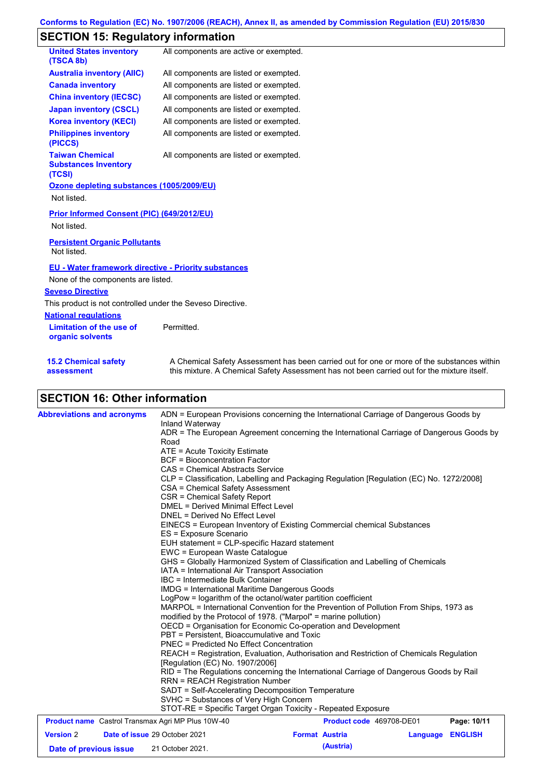## **SECTION 15: Regulatory information**

| ECTION 15: Regulatory Information                               |                                                                                                                                                                                           |
|-----------------------------------------------------------------|-------------------------------------------------------------------------------------------------------------------------------------------------------------------------------------------|
| <b>United States inventory</b><br>(TSCA 8b)                     | All components are active or exempted.                                                                                                                                                    |
| <b>Australia inventory (AIIC)</b>                               | All components are listed or exempted.                                                                                                                                                    |
| <b>Canada inventory</b>                                         | All components are listed or exempted.                                                                                                                                                    |
| <b>China inventory (IECSC)</b>                                  | All components are listed or exempted.                                                                                                                                                    |
| <b>Japan inventory (CSCL)</b>                                   | All components are listed or exempted.                                                                                                                                                    |
| <b>Korea inventory (KECI)</b>                                   | All components are listed or exempted.                                                                                                                                                    |
| <b>Philippines inventory</b><br>(PICCS)                         | All components are listed or exempted.                                                                                                                                                    |
| <b>Taiwan Chemical</b><br><b>Substances Inventory</b><br>(TCSI) | All components are listed or exempted.                                                                                                                                                    |
| Ozone depleting substances (1005/2009/EU)                       |                                                                                                                                                                                           |
| Not listed.                                                     |                                                                                                                                                                                           |
| <b>Prior Informed Consent (PIC) (649/2012/EU)</b>               |                                                                                                                                                                                           |
| Not listed.                                                     |                                                                                                                                                                                           |
| <b>Persistent Organic Pollutants</b><br>Not listed.             |                                                                                                                                                                                           |
| <b>EU - Water framework directive - Priority substances</b>     |                                                                                                                                                                                           |
| None of the components are listed.                              |                                                                                                                                                                                           |
| <b>Seveso Directive</b>                                         |                                                                                                                                                                                           |
| This product is not controlled under the Seveso Directive.      |                                                                                                                                                                                           |
| <b>National regulations</b>                                     |                                                                                                                                                                                           |
| <b>Limitation of the use of</b><br>organic solvents             | Permitted.                                                                                                                                                                                |
| <b>15.2 Chemical safety</b><br>assessment                       | A Chemical Safety Assessment has been carried out for one or more of the substances within<br>this mixture. A Chemical Safety Assessment has not been carried out for the mixture itself. |

# **SECTION 16: Other information**

| <b>Abbreviations and acronyms</b>                        | ADN = European Provisions concerning the International Carriage of Dangerous Goods by                                                                        |             |  |  |  |  |
|----------------------------------------------------------|--------------------------------------------------------------------------------------------------------------------------------------------------------------|-------------|--|--|--|--|
|                                                          | Inland Waterway                                                                                                                                              |             |  |  |  |  |
|                                                          | ADR = The European Agreement concerning the International Carriage of Dangerous Goods by<br>Road                                                             |             |  |  |  |  |
|                                                          |                                                                                                                                                              |             |  |  |  |  |
|                                                          | ATE = Acute Toxicity Estimate                                                                                                                                |             |  |  |  |  |
|                                                          | <b>BCF</b> = Bioconcentration Factor                                                                                                                         |             |  |  |  |  |
|                                                          | CAS = Chemical Abstracts Service                                                                                                                             |             |  |  |  |  |
|                                                          | CLP = Classification, Labelling and Packaging Regulation [Regulation (EC) No. 1272/2008]<br>CSA = Chemical Safety Assessment<br>CSR = Chemical Safety Report |             |  |  |  |  |
|                                                          |                                                                                                                                                              |             |  |  |  |  |
|                                                          |                                                                                                                                                              |             |  |  |  |  |
|                                                          | <b>DMEL = Derived Minimal Effect Level</b>                                                                                                                   |             |  |  |  |  |
|                                                          | DNEL = Derived No Effect Level                                                                                                                               |             |  |  |  |  |
|                                                          | EINECS = European Inventory of Existing Commercial chemical Substances                                                                                       |             |  |  |  |  |
|                                                          | ES = Exposure Scenario                                                                                                                                       |             |  |  |  |  |
|                                                          | EUH statement = CLP-specific Hazard statement                                                                                                                |             |  |  |  |  |
|                                                          | EWC = European Waste Catalogue                                                                                                                               |             |  |  |  |  |
|                                                          | GHS = Globally Harmonized System of Classification and Labelling of Chemicals                                                                                |             |  |  |  |  |
|                                                          | IATA = International Air Transport Association                                                                                                               |             |  |  |  |  |
|                                                          | IBC = Intermediate Bulk Container                                                                                                                            |             |  |  |  |  |
|                                                          | <b>IMDG</b> = International Maritime Dangerous Goods                                                                                                         |             |  |  |  |  |
|                                                          | LogPow = logarithm of the octanol/water partition coefficient                                                                                                |             |  |  |  |  |
|                                                          | MARPOL = International Convention for the Prevention of Pollution From Ships, 1973 as                                                                        |             |  |  |  |  |
|                                                          | modified by the Protocol of 1978. ("Marpol" = marine pollution)                                                                                              |             |  |  |  |  |
|                                                          | OECD = Organisation for Economic Co-operation and Development                                                                                                |             |  |  |  |  |
|                                                          | PBT = Persistent. Bioaccumulative and Toxic                                                                                                                  |             |  |  |  |  |
|                                                          | PNEC = Predicted No Effect Concentration                                                                                                                     |             |  |  |  |  |
|                                                          | REACH = Registration, Evaluation, Authorisation and Restriction of Chemicals Regulation                                                                      |             |  |  |  |  |
|                                                          | [Regulation (EC) No. 1907/2006]                                                                                                                              |             |  |  |  |  |
|                                                          | RID = The Regulations concerning the International Carriage of Dangerous Goods by Rail                                                                       |             |  |  |  |  |
|                                                          | <b>RRN = REACH Registration Number</b><br>SADT = Self-Accelerating Decomposition Temperature<br>SVHC = Substances of Very High Concern                       |             |  |  |  |  |
|                                                          |                                                                                                                                                              |             |  |  |  |  |
|                                                          |                                                                                                                                                              |             |  |  |  |  |
|                                                          | STOT-RE = Specific Target Organ Toxicity - Repeated Exposure                                                                                                 |             |  |  |  |  |
| <b>Product name</b> Castrol Transmax Agri MP Plus 10W-40 | Product code 469708-DE01                                                                                                                                     | Page: 10/11 |  |  |  |  |
| <b>Version 2</b>                                         | Date of issue 29 October 2021<br>Language ENGLISH<br><b>Format Austria</b>                                                                                   |             |  |  |  |  |
| Date of previous issue                                   | (Austria)<br>21 October 2021.                                                                                                                                |             |  |  |  |  |